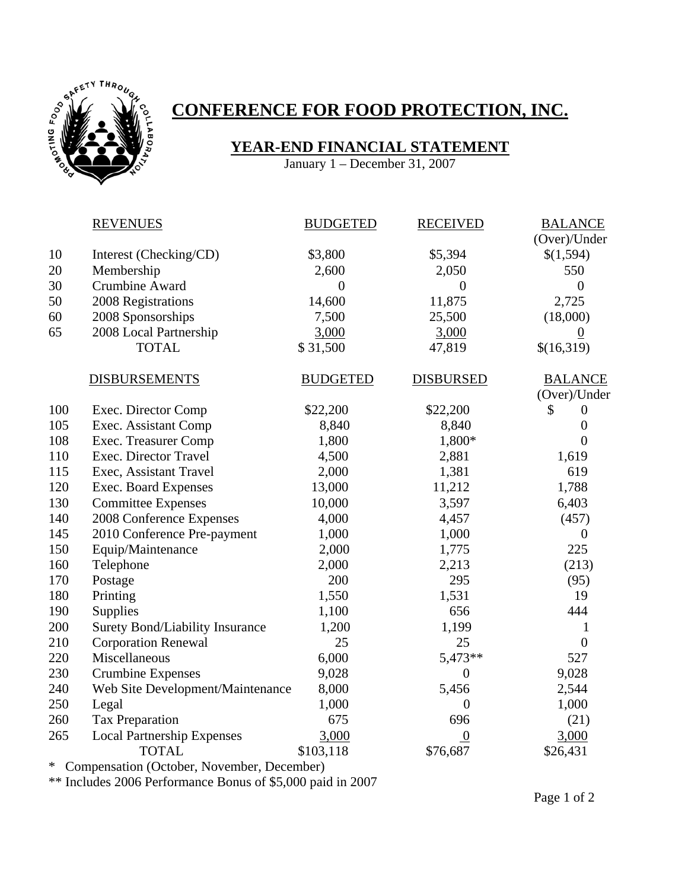

## **CONFERENCE FOR FOOD PROTECTION, INC.**

## **YEAR-END FINANCIAL STATEMENT**

January 1 – December 31, 2007

|        | <b>REVENUES</b>                        | <b>BUDGETED</b> | <b>RECEIVED</b>  | <b>BALANCE</b>  |
|--------|----------------------------------------|-----------------|------------------|-----------------|
|        |                                        |                 |                  | (Over)/Under    |
| 10     | Interest (Checking/CD)                 | \$3,800         | \$5,394          | \$(1,594)       |
| 20     | Membership                             | 2,600           | 2,050            | 550             |
| 30     | Crumbine Award                         | $\overline{0}$  | $\overline{0}$   | $\overline{0}$  |
| 50     | 2008 Registrations                     | 14,600          | 11,875           | 2,725           |
| 60     | 2008 Sponsorships                      | 7,500           | 25,500           | (18,000)        |
| 65     | 2008 Local Partnership                 | 3,000           | 3,000            | $\underline{0}$ |
|        | <b>TOTAL</b>                           | \$31,500        | 47,819           | \$(16,319)      |
|        | <b>DISBURSEMENTS</b>                   | <b>BUDGETED</b> | <b>DISBURSED</b> | <b>BALANCE</b>  |
|        |                                        |                 |                  | (Over)/Under    |
| 100    | Exec. Director Comp                    | \$22,200        | \$22,200         | \$<br>$\theta$  |
| 105    | Exec. Assistant Comp                   | 8,840           | 8,840            | $\overline{0}$  |
| 108    | Exec. Treasurer Comp                   | 1,800           | 1,800*           | $\overline{0}$  |
| 110    | Exec. Director Travel                  | 4,500           | 2,881            | 1,619           |
| 115    | Exec, Assistant Travel                 | 2,000           | 1,381            | 619             |
| 120    | Exec. Board Expenses                   | 13,000          | 11,212           | 1,788           |
| 130    | <b>Committee Expenses</b>              | 10,000          | 3,597            | 6,403           |
| 140    | 2008 Conference Expenses               | 4,000           | 4,457            | (457)           |
| 145    | 2010 Conference Pre-payment            | 1,000           | 1,000            | $\theta$        |
| 150    | Equip/Maintenance                      | 2,000           | 1,775            | 225             |
| 160    | Telephone                              | 2,000           | 2,213            | (213)           |
| 170    | Postage                                | 200             | 295              | (95)            |
| 180    | Printing                               | 1,550           | 1,531            | 19              |
| 190    | Supplies                               | 1,100           | 656              | 444             |
| 200    | <b>Surety Bond/Liability Insurance</b> | 1,200           | 1,199            | 1               |
| 210    | <b>Corporation Renewal</b>             | 25              | 25               | $\overline{0}$  |
| 220    | Miscellaneous                          | 6,000           | 5,473**          | 527             |
| 230    | <b>Crumbine Expenses</b>               | 9,028           | $\mathbf{0}$     | 9,028           |
| 240    | Web Site Development/Maintenance       | 8,000           | 5,456            | 2,544           |
| 250    | Legal                                  | 1,000           | $\theta$         | 1,000           |
| 260    | <b>Tax Preparation</b>                 | 675             | 696              | (21)            |
| 265    | <b>Local Partnership Expenses</b>      | 3,000           | $\boldsymbol{0}$ | 3,000           |
|        | <b>TOTAL</b>                           | \$103,118       | \$76,687         | \$26,431        |
| $\sim$ |                                        |                 |                  |                 |

\* Compensation (October, November, December)

\*\* Includes 2006 Performance Bonus of \$5,000 paid in 2007